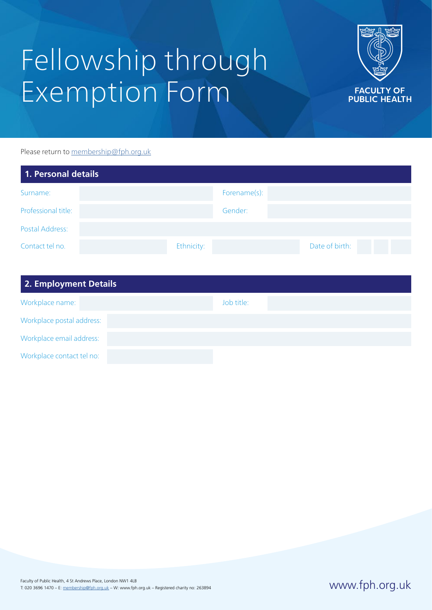# Fellowship through Exemption Form



Please return to [membership@fph.org.uk](mailto:membership%40fph.org.uk?subject=)

| 1. Personal details |            |              |                |  |
|---------------------|------------|--------------|----------------|--|
| Surname:            |            | Forename(s): |                |  |
| Professional title: |            | Gender:      |                |  |
| Postal Address:     |            |              |                |  |
| Contact tel no.     | Ethnicity: |              | Date of birth: |  |

| 2. Employment Details     |            |
|---------------------------|------------|
| Workplace name:           | Job title: |
| Workplace postal address: |            |
| Workplace email address:  |            |
| Workplace contact tel no: |            |